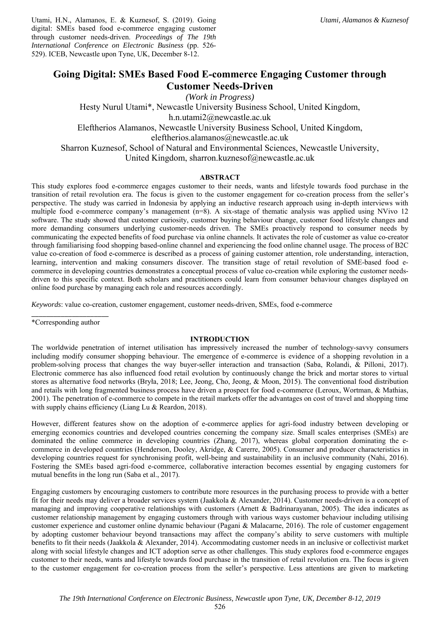Utami, H.N., Alamanos, E. & Kuznesof, S. (2019). Going digital: SMEs based food e-commerce engaging customer through customer needs-driven. *Proceedings of The 19th International Conference on Electronic Business* (pp. 526- 529). ICEB, Newcastle upon Tyne, UK, December 8-12.

# **Going Digital: SMEs Based Food E-commerce Engaging Customer through Customer Needs-Driven**

*(Work in Progress)* 

Hesty Nurul Utami\*, Newcastle University Business School, United Kingdom, h.n.utami2@newcastle.ac.uk Eleftherios Alamanos, Newcastle University Business School, United Kingdom, eleftherios.alamanos@newcastle.ac.uk Sharron Kuznesof, School of Natural and Environmental Sciences, Newcastle University, United Kingdom, sharron.kuznesof@newcastle.ac.uk

# **ABSTRACT**

This study explores food e-commerce engages customer to their needs, wants and lifestyle towards food purchase in the transition of retail revolution era. The focus is given to the customer engagement for co-creation process from the seller's perspective. The study was carried in Indonesia by applying an inductive research approach using in-depth interviews with multiple food e-commerce company's management (n=8). A six-stage of thematic analysis was applied using NVivo 12 software. The study showed that customer curiosity, customer buying behaviour change, customer food lifestyle changes and more demanding consumers underlying customer-needs driven. The SMEs proactively respond to consumer needs by communicating the expected benefits of food purchase via online channels. It activates the role of customer as value co-creator through familiarising food shopping based-online channel and experiencing the food online channel usage. The process of B2C value co-creation of food e-commerce is described as a process of gaining customer attention, role understanding, interaction, learning, intervention and making consumers discover. The transition stage of retail revolution of SME-based food ecommerce in developing countries demonstrates a conceptual process of value co-creation while exploring the customer needsdriven to this specific context. Both scholars and practitioners could learn from consumer behaviour changes displayed on online food purchase by managing each role and resources accordingly.

*Keywords*: value co-creation, customer engagement, customer needs-driven, SMEs, food e-commerce

\_\_\_\_\_\_\_\_\_\_\_\_\_\_\_\_\_\_\_\_\_ \*Corresponding author

#### **INTRODUCTION**

The worldwide penetration of internet utilisation has impressively increased the number of technology-savvy consumers including modify consumer shopping behaviour. The emergence of e-commerce is evidence of a shopping revolution in a problem-solving process that changes the way buyer-seller interaction and transaction (Saba, Rolandi, & Pilloni, 2017). Electronic commerce has also influenced food retail evolution by continuously change the brick and mortar stores to virtual stores as alternative food networks (Bryła, 2018; Lee, Jeong, Cho, Jeong, & Moon, 2015). The conventional food distribution and retails with long fragmented business process have driven a prospect for food e-commerce (Leroux, Wortman, & Mathias, 2001). The penetration of e-commerce to compete in the retail markets offer the advantages on cost of travel and shopping time with supply chains efficiency (Liang Lu & Reardon, 2018).

However, different features show on the adoption of e-commerce applies for agri-food industry between developing or emerging economics countries and developed countries concerning the company size. Small scales enterprises (SMEs) are dominated the online commerce in developing countries (Zhang, 2017), whereas global corporation dominating the ecommerce in developed countries (Henderson, Dooley, Akridge, & Carerre, 2005). Consumer and producer characteristics in developing countries request for synchronising profit, well-being and sustainability in an inclusive community (Nahi, 2016). Fostering the SMEs based agri-food e-commerce, collaborative interaction becomes essential by engaging customers for mutual benefits in the long run (Saba et al., 2017).

Engaging customers by encouraging customers to contribute more resources in the purchasing process to provide with a better fit for their needs may deliver a broader services system (Jaakkola & Alexander, 2014). Customer needs-driven is a concept of managing and improving cooperative relationships with customers (Arnett & Badrinarayanan, 2005). The idea indicates as customer relationship management by engaging customers through with various ways customer behaviour including utilising customer experience and customer online dynamic behaviour (Pagani & Malacarne, 2016). The role of customer engagement by adopting customer behaviour beyond transactions may affect the company's ability to serve customers with multiple benefits to fit their needs (Jaakkola & Alexander, 2014). Accommodating customer needs in an inclusive or collectivist market along with social lifestyle changes and ICT adoption serve as other challenges. This study explores food e-commerce engages customer to their needs, wants and lifestyle towards food purchase in the transition of retail revolution era. The focus is given to the customer engagement for co-creation process from the seller's perspective. Less attentions are given to marketing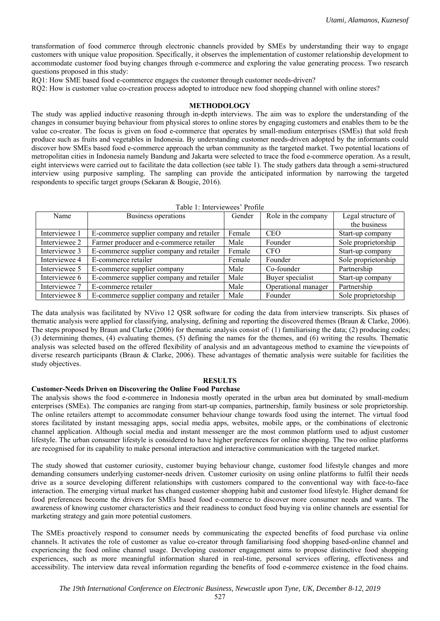transformation of food commerce through electronic channels provided by SMEs by understanding their way to engage customers with unique value proposition. Specifically, it observes the implementation of customer relationship development to accommodate customer food buying changes through e-commerce and exploring the value generating process. Two research questions proposed in this study:

RQ1: How SME based food e-commerce engages the customer through customer needs-driven?

RQ2: How is customer value co-creation process adopted to introduce new food shopping channel with online stores?

## **METHODOLOGY**

The study was applied inductive reasoning through in-depth interviews. The aim was to explore the understanding of the changes in consumer buying behaviour from physical stores to online stores by engaging customers and enables them to be the value co-creator. The focus is given on food e-commerce that operates by small-medium enterprises (SMEs) that sold fresh produce such as fruits and vegetables in Indonesia. By understanding customer needs-driven adopted by the informants could discover how SMEs based food e-commerce approach the urban community as the targeted market. Two potential locations of metropolitan cities in Indonesia namely Bandung and Jakarta were selected to trace the food e-commerce operation. As a result, eight interviews were carried out to facilitate the data collection (see table 1). The study gathers data through a semi-structured interview using purposive sampling. The sampling can provide the anticipated information by narrowing the targeted respondents to specific target groups (Sekaran & Bougie, 2016).

| Name          | Business operations                      | Gender | Role in the company | Legal structure of  |
|---------------|------------------------------------------|--------|---------------------|---------------------|
|               |                                          |        |                     | the business        |
| Interviewee 1 | E-commerce supplier company and retailer | Female | <b>CEO</b>          | Start-up company    |
| Interviewee 2 | Farmer producer and e-commerce retailer  | Male   | Founder             | Sole proprietorship |
| Interviewee 3 | E-commerce supplier company and retailer | Female | <b>CFO</b>          | Start-up company    |
| Interviewee 4 | E-commerce retailer                      | Female | Founder             | Sole proprietorship |
| Interviewee 5 | E-commerce supplier company              | Male   | Co-founder          | Partnership         |
| Interviewee 6 | E-commerce supplier company and retailer | Male   | Buyer specialist    | Start-up company    |
| Interviewee 7 | E-commerce retailer                      | Male   | Operational manager | Partnership         |
| Interviewee 8 | E-commerce supplier company and retailer | Male   | Founder             | Sole proprietorship |

Table 1: Interviewees' Profile

The data analysis was facilitated by NVivo 12 QSR software for coding the data from interview transcripts. Six phases of thematic analysis were applied for classifying, analysing, defining and reporting the discovered themes (Braun & Clarke, 2006). The steps proposed by Braun and Clarke (2006) for thematic analysis consist of: (1) familiarising the data; (2) producing codes; (3) determining themes, (4) evaluating themes, (5) defining the names for the themes, and (6) writing the results. Thematic analysis was selected based on the offered flexibility of analysis and an advantageous method to examine the viewpoints of diverse research participants (Braun & Clarke, 2006). These advantages of thematic analysis were suitable for facilities the study objectives.

# **RESULTS**

#### **Customer-Needs Driven on Discovering the Online Food Purchase**

The analysis shows the food e-commerce in Indonesia mostly operated in the urban area but dominated by small-medium enterprises (SMEs). The companies are ranging from start-up companies, partnership, family business or sole proprietorship. The online retailers attempt to accommodate consumer behaviour change towards food using the internet. The virtual food stores facilitated by instant messaging apps, social media apps, websites, mobile apps, or the combinations of electronic channel application. Although social media and instant messenger are the most common platform used to adjust customer lifestyle. The urban consumer lifestyle is considered to have higher preferences for online shopping. The two online platforms are recognised for its capability to make personal interaction and interactive communication with the targeted market.

The study showed that customer curiosity, customer buying behaviour change, customer food lifestyle changes and more demanding consumers underlying customer-needs driven. Customer curiosity on using online platforms to fulfil their needs drive as a source developing different relationships with customers compared to the conventional way with face-to-face interaction. The emerging virtual market has changed customer shopping habit and customer food lifestyle. Higher demand for food preferences become the drivers for SMEs based food e-commerce to discover more consumer needs and wants. The awareness of knowing customer characteristics and their readiness to conduct food buying via online channels are essential for marketing strategy and gain more potential customers.

The SMEs proactively respond to consumer needs by communicating the expected benefits of food purchase via online channels. It activates the role of customer as value co-creator through familiarising food shopping based-online channel and experiencing the food online channel usage. Developing customer engagement aims to propose distinctive food shopping experiences, such as more meaningful information shared in real-time, personal services offering, effectiveness and accessibility. The interview data reveal information regarding the benefits of food e-commerce existence in the food chains.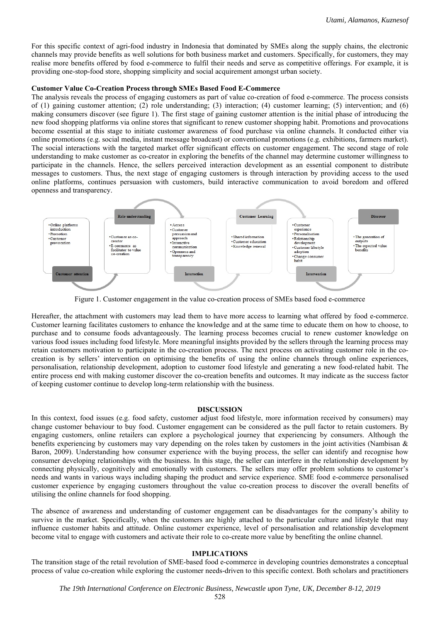For this specific context of agri-food industry in Indonesia that dominated by SMEs along the supply chains, the electronic channels may provide benefits as well solutions for both business market and customers. Specifically, for customers, they may realise more benefits offered by food e-commerce to fulfil their needs and serve as competitive offerings. For example, it is providing one-stop-food store, shopping simplicity and social acquirement amongst urban society.

## **Customer Value Co-Creation Process through SMEs Based Food E-Commerce**

The analysis reveals the process of engaging customers as part of value co-creation of food e-commerce. The process consists of (1) gaining customer attention; (2) role understanding; (3) interaction; (4) customer learning; (5) intervention; and (6) making consumers discover (see figure 1). The first stage of gaining customer attention is the initial phase of introducing the new food shopping platforms via online stores that significant to renew customer shopping habit. Promotions and provocations become essential at this stage to initiate customer awareness of food purchase via online channels. It conducted either via online promotions (e.g. social media, instant message broadcast) or conventional promotions (e.g. exhibitions, farmers market). The social interactions with the targeted market offer significant effects on customer engagement. The second stage of role understanding to make customer as co-creator in exploring the benefits of the channel may determine customer willingness to participate in the channels. Hence, the sellers perceived interaction development as an essential component to distribute messages to customers. Thus, the next stage of engaging customers is through interaction by providing access to the used online platforms, continues persuasion with customers, build interactive communication to avoid boredom and offered openness and transparency.



Figure 1. Customer engagement in the value co-creation process of SMEs based food e-commerce

Hereafter, the attachment with customers may lead them to have more access to learning what offered by food e-commerce. Customer learning facilitates customers to enhance the knowledge and at the same time to educate them on how to choose, to purchase and to consume foods advantageously. The learning process becomes crucial to renew customer knowledge on various food issues including food lifestyle. More meaningful insights provided by the sellers through the learning process may retain customers motivation to participate in the co-creation process. The next process on activating customer role in the cocreation is by sellers' intervention on optimising the benefits of using the online channels through online experiences, personalisation, relationship development, adoption to customer food lifestyle and generating a new food-related habit. The entire process end with making customer discover the co-creation benefits and outcomes. It may indicate as the success factor of keeping customer continue to develop long-term relationship with the business.

## **DISCUSSION**

In this context, food issues (e.g. food safety, customer adjust food lifestyle, more information received by consumers) may change customer behaviour to buy food. Customer engagement can be considered as the pull factor to retain customers. By engaging customers, online retailers can explore a psychological journey that experiencing by consumers. Although the benefits experiencing by customers may vary depending on the roles taken by customers in the joint activities (Nambisan & Baron, 2009). Understanding how consumer experience with the buying process, the seller can identify and recognise how consumer developing relationships with the business. In this stage, the seller can interfere in the relationship development by connecting physically, cognitively and emotionally with customers. The sellers may offer problem solutions to customer's needs and wants in various ways including shaping the product and service experience. SME food e-commerce personalised customer experience by engaging customers throughout the value co-creation process to discover the overall benefits of utilising the online channels for food shopping.

The absence of awareness and understanding of customer engagement can be disadvantages for the company's ability to survive in the market. Specifically, when the customers are highly attached to the particular culture and lifestyle that may influence customer habits and attitude. Online customer experience, level of personalisation and relationship development become vital to engage with customers and activate their role to co-create more value by benefiting the online channel.

# **IMPLICATIONS**

The transition stage of the retail revolution of SME-based food e-commerce in developing countries demonstrates a conceptual process of value co-creation while exploring the customer needs-driven to this specific context. Both scholars and practitioners